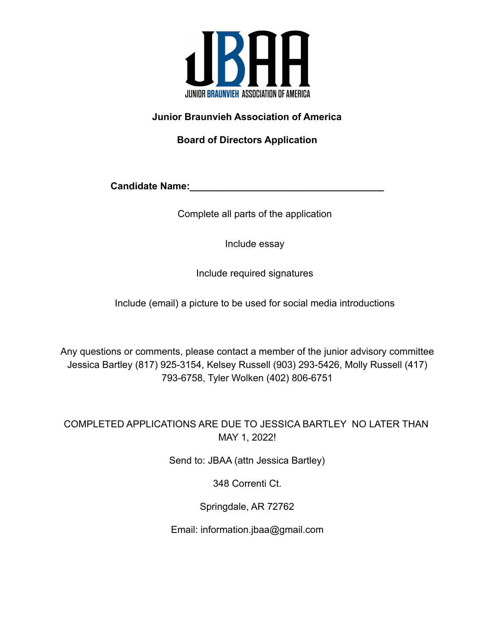

### **Junior Braunvieh Association of America**

**Board of Directors Application**

**Candidate Name: Candidate Name: Candidate Name: Candidate Name: Candidate Name: Candidate Name: Candidate Name: Candidate Name: Candidate Name: Candidate Name: Candidate Name: Candidate Name: Candi** 

Complete all parts of the application

Include essay

Include required signatures

Include (email) a picture to be used for social media introductions

Any questions or comments, please contact a member of the junior advisory committee Jessica Bartley (817) 925-3154, Kelsey Russell (903) 293-5426, Molly Russell (417) 793-6758, Tyler Wolken (402) 806-6751

# COMPLETED APPLICATIONS ARE DUE TO JESSICA BARTLEY NO LATER THAN MAY 1, 2022!

Send to: JBAA (attn Jessica Bartley)

348 Correnti Ct.

Springdale, AR 72762

Email: information.jbaa@gmail.com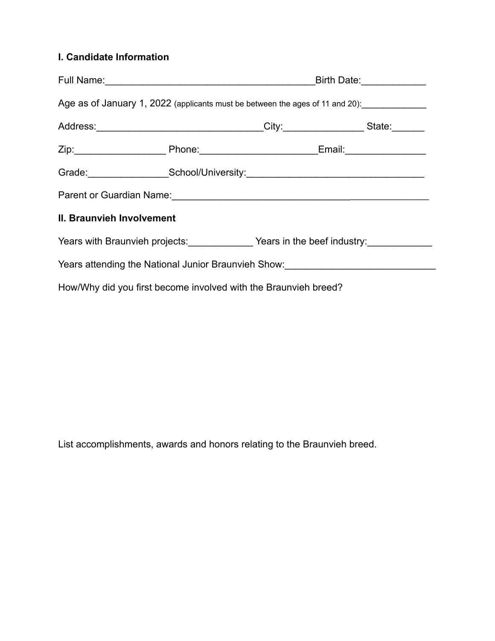# **I. Candidate Information**

|                                                                                                         |  |                                                                                   | Birth Date: 1997 |
|---------------------------------------------------------------------------------------------------------|--|-----------------------------------------------------------------------------------|------------------|
| Age as of January 1, 2022 (applicants must be between the ages of 11 and 20): _______________           |  |                                                                                   |                  |
|                                                                                                         |  | Address: __________________________________City:___________________State: _______ |                  |
|                                                                                                         |  |                                                                                   |                  |
|                                                                                                         |  | Grade: School/University: Character Account Contains and School/University:       |                  |
|                                                                                                         |  |                                                                                   |                  |
| II. Braunvieh Involvement                                                                               |  |                                                                                   |                  |
| Years with Braunvieh projects: Vears in the beef industry:                                              |  |                                                                                   |                  |
| Years attending the National Junior Braunvieh Show: Vears attending the National Junior Braunvieh Show: |  |                                                                                   |                  |
| How/Why did you first become involved with the Braunvieh breed?                                         |  |                                                                                   |                  |

List accomplishments, awards and honors relating to the Braunvieh breed.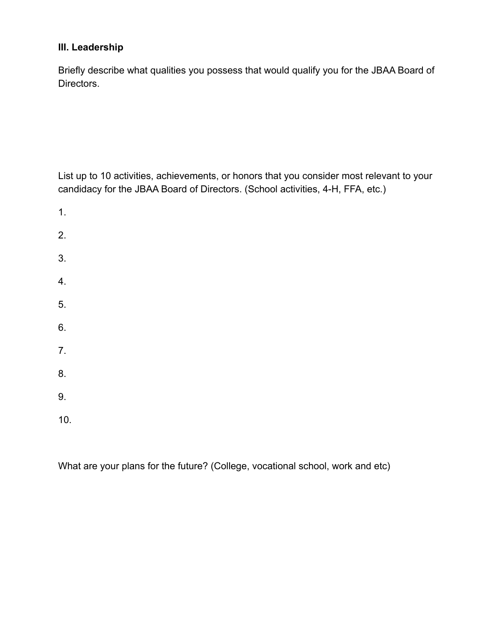## **III. Leadership**

Briefly describe what qualities you possess that would qualify you for the JBAA Board of Directors.

List up to 10 activities, achievements, or honors that you consider most relevant to your candidacy for the JBAA Board of Directors. (School activities, 4-H, FFA, etc.)

1. 2. 3. 4. 5. 6. 7. 8. 9. 10.

What are your plans for the future? (College, vocational school, work and etc)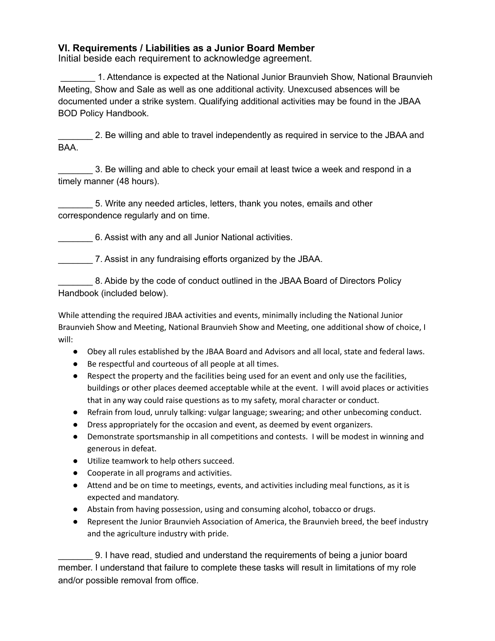#### **VI. Requirements / Liabilities as a Junior Board Member**

Initial beside each requirement to acknowledge agreement.

\_\_\_\_\_\_\_ 1. Attendance is expected at the National Junior Braunvieh Show, National Braunvieh Meeting, Show and Sale as well as one additional activity. Unexcused absences will be documented under a strike system. Qualifying additional activities may be found in the JBAA BOD Policy Handbook.

\_\_\_\_\_\_\_ 2. Be willing and able to travel independently as required in service to the JBAA and BAA.

\_\_\_\_\_\_\_ 3. Be willing and able to check your email at least twice a week and respond in a timely manner (48 hours).

\_\_\_\_\_\_\_ 5. Write any needed articles, letters, thank you notes, emails and other correspondence regularly and on time.

\_\_\_\_\_\_\_ 6. Assist with any and all Junior National activities.

\_\_\_\_\_\_\_ 7. Assist in any fundraising efforts organized by the JBAA.

\_\_\_\_\_\_\_ 8. Abide by the code of conduct outlined in the JBAA Board of Directors Policy Handbook (included below).

While attending the required JBAA activities and events, minimally including the National Junior Braunvieh Show and Meeting, National Braunvieh Show and Meeting, one additional show of choice, I will:

- Obey all rules established by the JBAA Board and Advisors and all local, state and federal laws.
- Be respectful and courteous of all people at all times.
- Respect the property and the facilities being used for an event and only use the facilities, buildings or other places deemed acceptable while at the event. I will avoid places or activities that in any way could raise questions as to my safety, moral character or conduct.
- Refrain from loud, unruly talking: vulgar language; swearing; and other unbecoming conduct.
- Dress appropriately for the occasion and event, as deemed by event organizers.
- Demonstrate sportsmanship in all competitions and contests. I will be modest in winning and generous in defeat.
- Utilize teamwork to help others succeed.
- Cooperate in all programs and activities.
- Attend and be on time to meetings, events, and activities including meal functions, as it is expected and mandatory.
- Abstain from having possession, using and consuming alcohol, tobacco or drugs.
- Represent the Junior Braunvieh Association of America, the Braunvieh breed, the beef industry and the agriculture industry with pride.

\_\_\_\_\_\_\_ 9. I have read, studied and understand the requirements of being a junior board member. I understand that failure to complete these tasks will result in limitations of my role and/or possible removal from office.